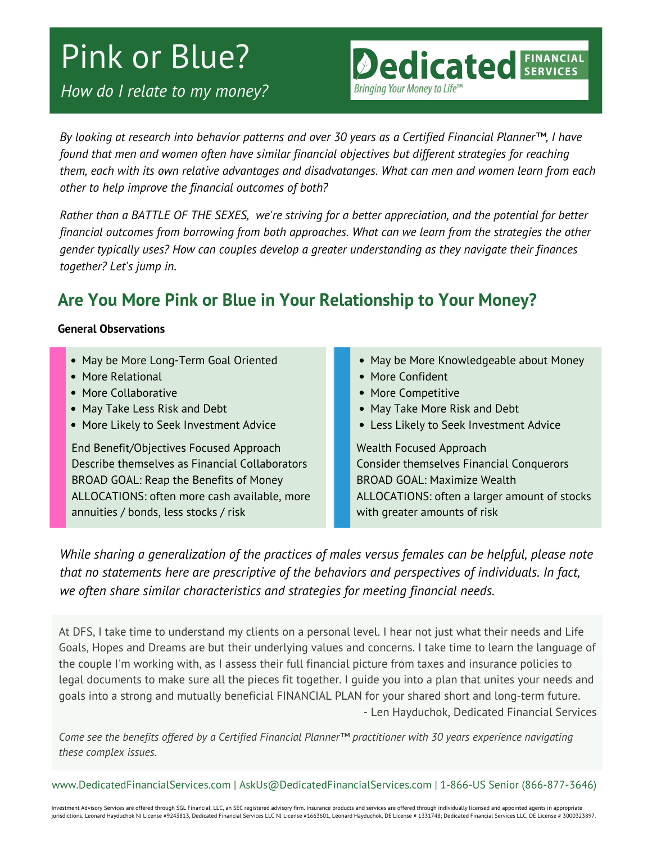# Pink or Blue?

*How do I relate to my money?*

By looking at research into behavior patterns and over 30 years as a Certified Financial Planner™. I have *found that men and women often have similar financial objectives but different strategies for reaching them, each with its own relative advantages and disadvatanges. What can men and women learn from each other to help improve the financial outcomes of both?*

Rather than a BATTLE OF THE SEXES, we're striving for a better appreciation, and the potential for better *financial outcomes from borrowing from both approaches. What can we learn from the strategies the other gender typically uses? How can couples develop a greater understanding as they navigate their finances together? Let's jump in.*

## **Are You More Pink or Blue in Your Relationship to Your Money?**

#### **General Observations**

- May be More Long-Term Goal Oriented
- More Relational
- More Collaborative
- May Take Less Risk and Debt
- More Likely to Seek Investment Advice

End Benefit/Objectives Focused Approach Describe themselves as Financial Collaborators BROAD GOAL: Reap the Benefits of Money ALLOCATIONS: often more cash available, more annuities / bonds, less stocks / risk

• May be More Knowledgeable about Money

**Dedicated SERVICES** 

• More Confident

Bringing Your Money to Life<sup>T</sup>

- More Competitive
- May Take More Risk and Debt
- Less Likely to Seek Investment Advice

Wealth Focused Approach Consider themselves Financial Conquerors BROAD GOAL: Maximize Wealth ALLOCATIONS: often a larger amount of stocks with greater amounts of risk

*While sharing a generalization of the practices of males versus females can be helpful, please note that no statements here are prescriptive of the behaviors and perspectives of individuals. In fact, we often share similar characteristics and strategies for meeting financial needs.*

At DFS, I take time to understand my clients on a personal level. I hear not just what their needs and Life Goals, Hopes and Dreams are but their underlying values and concerns. I take time to learn the language of the couple I'm working with, as I assess their full financial picture from taxes and insurance policies to legal documents to make sure all the pieces fit together. I guide you into a plan that unites your needs and goals into a strong and mutually beneficial FINANCIAL PLAN for your shared short and long-term future. - Len Hayduchok, Dedicated Financial Services

*Come see the benefits offered by a Certified Financial Planner™ practitioner with 30 years experience navigating these complex issues.*

www.DedicatedFinancialServices.com | AskUs@DedicatedFinancialServices.com | 1-866-US Senior (866-877-3646)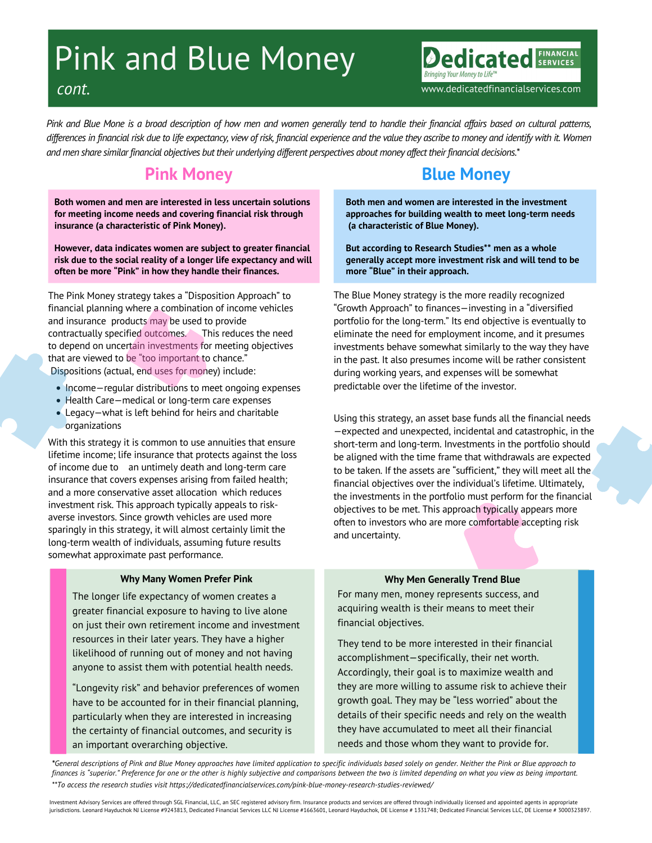# Pink and Blue Money

*cont.* www.dedicatedfinancialservices.com

edicated

Pink and Blue Mone is a broad description of how men and women generally tend to handle their financial affairs based on cultural patterns, differences in financial risk due to life expectancy, view of risk, financial experience and the value they ascribe to money and identify with it. Women and men share similar financial objectives but their underlying different perspectives about money affect their financial decisions.\*

## **Pink Money**

**Both women and men are interested in less uncertain solutions for meeting income needs and covering financial risk through insurance (a characteristic of Pink Money).**

**However, data indicates women are subject to greater financial risk due to the social reality of a longer life expectancy and will often be more "Pink" in how they handle their finances.**

The Pink Money strategy takes a "Disposition Approach" to financial planning where a combination of income vehicles and insurance products may be used to provide contractually specified outcomes. This reduces the need to depend on uncertain investments for meeting objectives that are viewed to be "too important to chance." Dispositions (actual, end uses for money) include:

- Income regular distributions to meet ongoing expenses
- Health Care-medical or long-term care expenses
- Legacy—what is left behind for heirs and charitable organizations

With this strategy it is common to use annuities that ensure lifetime income; life insurance that protects against the loss of income due to an untimely death and long-term care insurance that covers expenses arising from failed health; and a more conservative asset allocation which reduces investment risk. This approach typically appeals to risk averse investors. Since growth vehicles are used more sparingly in this strategy, it will almost certainly limit the long-term wealth of individuals, assuming future results somewhat approximate past performance.

#### **Why Many Women Prefer Pink**

The longer life expectancy of women creates a greater financial exposure to having to live alone on just their own retirement income and investment resources in their later years. They have a higher likelihood of running out of money and not having anyone to assist them with potential health needs.

"Longevity risk" and behavior preferences of women have to be accounted for in their financial planning, particularly when they are interested in increasing the certainty of financial outcomes, and security is an important overarching objective.

## **Blue Money**

**Both men and women are interested in the investment approaches for building wealth to meet long-term needs (a characteristic of Blue Money).**

**But according to Research Studies\*\* men as a whole generally accept more investment risk and will tend to be more "Blue" in their approach.**

The Blue Money strategy is the more readily recognized "Growth Approach" to finances—investing in a "diversified portfolio for the long-term." Its end objective is eventually to eliminate the need for employment income, and it presumes investments behave somewhat similarly to the way they have in the past. It also presumes income will be rather consistent during working years, and expenses will be somewhat predictable over the lifetime of the investor.

Using this strategy, an asset base funds all the financial needs —expected and unexpected, incidental and catastrophic, in the short-term and long-term. Investments in the portfolio should be aligned with the time frame that withdrawals are expected to be taken. If the assets are "sufficient," they will meet all the financial objectives over the individual's lifetime. Ultimately, the investments in the portfolio must perform for the financial objectives to be met. This approach typically appears more often to investors who are more comfortable accepting risk and uncertainty.

#### **Why Men Generally Trend Blue**

For many men, money represents success, and acquiring wealth is their means to meet their financial objectives.

They tend to be more interested in their financial accomplishment—specifically, their net worth. Accordingly, their goal is to maximize wealth and they are more willing to assume risk to achieve their growth goal. They may be "less worried" about the details of their specific needs and rely on the wealth they have accumulated to meet all their financial needs and those whom they want to provide for.

\*General descriptions of Pink and Blue Money approaches have limited application to specific individuals based solely on gender. Neither the Pink or Blue approach to finances is "superior." Preference for one or the other is highly subjective and comparisons between the two is limited depending on what you view as being important. *\*\*To access the research studies visit https://dedicatedfinancialservices.com/pink-blue-money-research-studies-reviewed/*

Investment Advisory Services are offered through SGL Financial, LLC, an SEC registered advisory firm. Insurance products and services are offered through individually licensed and appointed agents in appropriate jurisdictions. Leonard Hayduchok NJ License #9243813, Dedicated Financial Services LLC NJ License #1663601, Leonard Hayduchok, DE License # 331748; Dedicated Financial Services LLC, DE License # 3000323897.